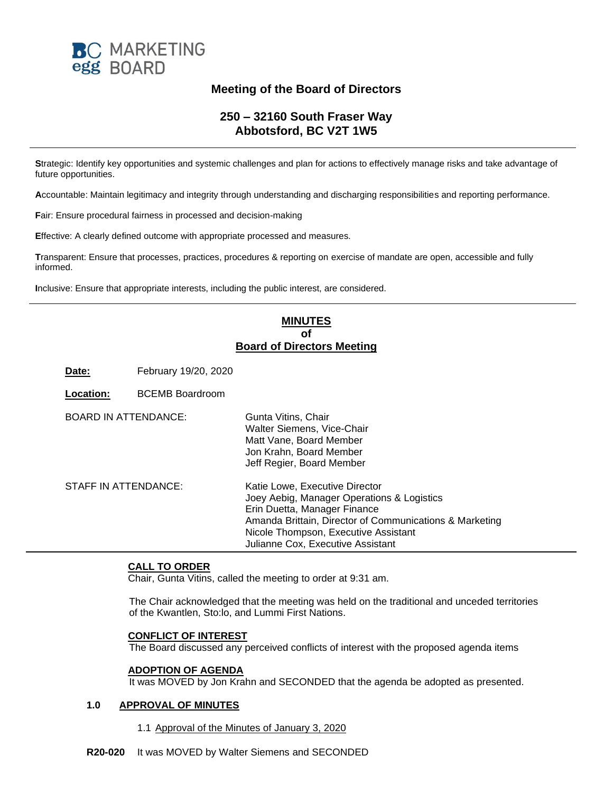

# **Meeting of the Board of Directors**

# **250 – 32160 South Fraser Way Abbotsford, BC V2T 1W5**

**S**trategic: Identify key opportunities and systemic challenges and plan for actions to effectively manage risks and take advantage of future opportunities.

**A**ccountable: Maintain legitimacy and integrity through understanding and discharging responsibilities and reporting performance.

**F**air: Ensure procedural fairness in processed and decision-making

**E**ffective: A clearly defined outcome with appropriate processed and measures.

**T**ransparent: Ensure that processes, practices, procedures & reporting on exercise of mandate are open, accessible and fully informed.

**I**nclusive: Ensure that appropriate interests, including the public interest, are considered.

# **MINUTES of Board of Directors Meeting**

**Date:** February 19/20, 2020

**Location:** BCEMB Boardroom

| <b>BOARD IN ATTENDANCE:</b> | Gunta Vitins, Chair<br>Walter Siemens, Vice-Chair<br>Matt Vane, Board Member<br>Jon Krahn, Board Member<br>Jeff Regier, Board Member                                                                                                                 |
|-----------------------------|------------------------------------------------------------------------------------------------------------------------------------------------------------------------------------------------------------------------------------------------------|
| STAFF IN ATTENDANCE:        | Katie Lowe, Executive Director<br>Joey Aebig, Manager Operations & Logistics<br>Erin Duetta, Manager Finance<br>Amanda Brittain, Director of Communications & Marketing<br>Nicole Thompson, Executive Assistant<br>Julianne Cox, Executive Assistant |

# **CALL TO ORDER**

Chair, Gunta Vitins, called the meeting to order at 9:31 am.

The Chair acknowledged that the meeting was held on the traditional and unceded territories of the Kwantlen, Sto:lo, and Lummi First Nations.

### **CONFLICT OF INTEREST**

The Board discussed any perceived conflicts of interest with the proposed agenda items

### **ADOPTION OF AGENDA**

It was MOVED by Jon Krahn and SECONDED that the agenda be adopted as presented.

### **1.0 APPROVAL OF MINUTES**

1.1 Approval of the Minutes of January 3, 2020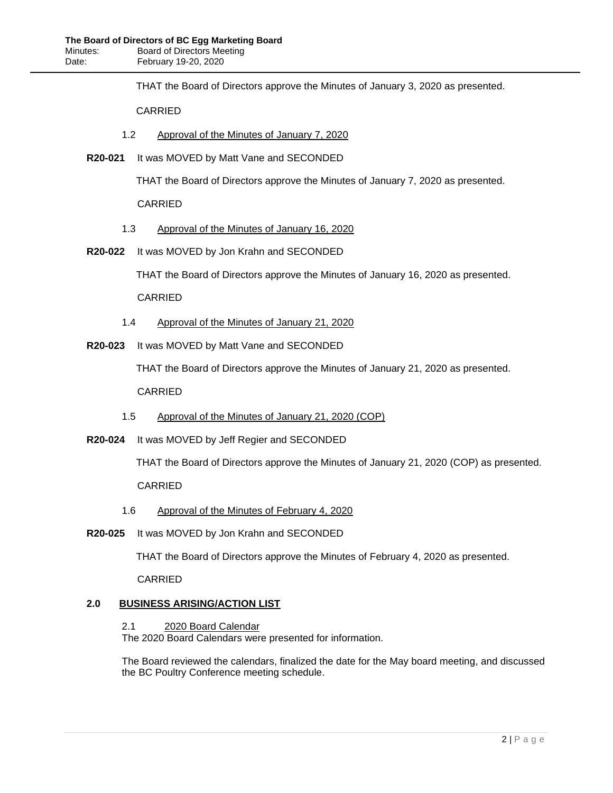THAT the Board of Directors approve the Minutes of January 3, 2020 as presented.

CARRIED

- 1.2 Approval of the Minutes of January 7, 2020
- **R20-021** It was MOVED by Matt Vane and SECONDED

THAT the Board of Directors approve the Minutes of January 7, 2020 as presented.

CARRIED

- 1.3 Approval of the Minutes of January 16, 2020
- **R20-022** It was MOVED by Jon Krahn and SECONDED

THAT the Board of Directors approve the Minutes of January 16, 2020 as presented.

CARRIED

- 1.4 Approval of the Minutes of January 21, 2020
- **R20-023** It was MOVED by Matt Vane and SECONDED

THAT the Board of Directors approve the Minutes of January 21, 2020 as presented.

CARRIED

- 1.5 Approval of the Minutes of January 21, 2020 (COP)
- **R20-024** It was MOVED by Jeff Regier and SECONDED

THAT the Board of Directors approve the Minutes of January 21, 2020 (COP) as presented.

CARRIED

- 1.6 Approval of the Minutes of February 4, 2020
- **R20-025** It was MOVED by Jon Krahn and SECONDED

THAT the Board of Directors approve the Minutes of February 4, 2020 as presented.

CARRIED

# **2.0 BUSINESS ARISING/ACTION LIST**

2.1 2020 Board Calendar The 2020 Board Calendars were presented for information.

The Board reviewed the calendars, finalized the date for the May board meeting, and discussed the BC Poultry Conference meeting schedule.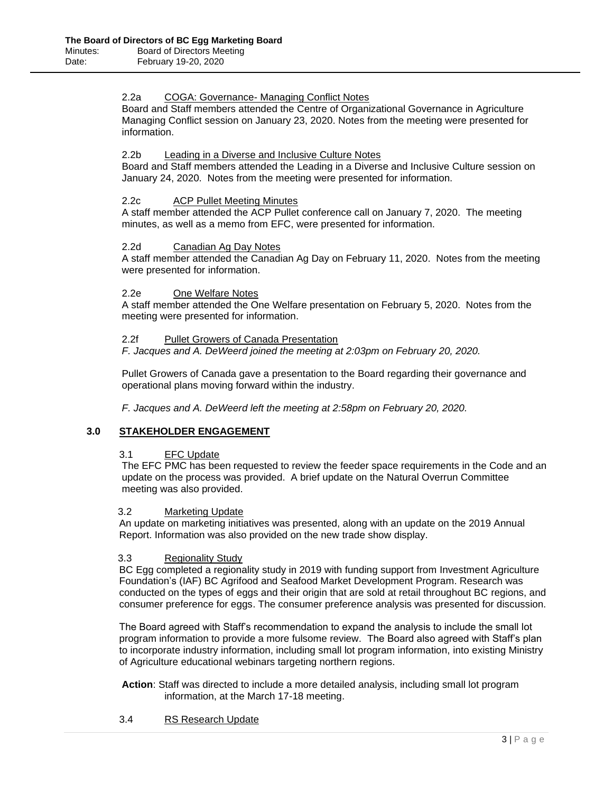### 2.2a COGA: Governance- Managing Conflict Notes

Board and Staff members attended the Centre of Organizational Governance in Agriculture Managing Conflict session on January 23, 2020. Notes from the meeting were presented for information.

#### 2.2b Leading in a Diverse and Inclusive Culture Notes

Board and Staff members attended the Leading in a Diverse and Inclusive Culture session on January 24, 2020. Notes from the meeting were presented for information.

### 2.2c ACP Pullet Meeting Minutes

A staff member attended the ACP Pullet conference call on January 7, 2020. The meeting minutes, as well as a memo from EFC, were presented for information.

#### 2.2d Canadian Ag Day Notes

A staff member attended the Canadian Ag Day on February 11, 2020. Notes from the meeting were presented for information.

#### 2.2e One Welfare Notes

A staff member attended the One Welfare presentation on February 5, 2020. Notes from the meeting were presented for information.

#### 2.2f Pullet Growers of Canada Presentation

*F. Jacques and A. DeWeerd joined the meeting at 2:03pm on February 20, 2020.*

Pullet Growers of Canada gave a presentation to the Board regarding their governance and operational plans moving forward within the industry.

*F. Jacques and A. DeWeerd left the meeting at 2:58pm on February 20, 2020.*

### **3.0 STAKEHOLDER ENGAGEMENT**

### 3.1 EFC Update

The EFC PMC has been requested to review the feeder space requirements in the Code and an update on the process was provided. A brief update on the Natural Overrun Committee meeting was also provided.

#### 3.2 Marketing Update

An update on marketing initiatives was presented, along with an update on the 2019 Annual Report. Information was also provided on the new trade show display.

#### 3.3 Regionality Study

BC Egg completed a regionality study in 2019 with funding support from Investment Agriculture Foundation's (IAF) BC Agrifood and Seafood Market Development Program. Research was conducted on the types of eggs and their origin that are sold at retail throughout BC regions, and consumer preference for eggs. The consumer preference analysis was presented for discussion.

The Board agreed with Staff's recommendation to expand the analysis to include the small lot program information to provide a more fulsome review. The Board also agreed with Staff's plan to incorporate industry information, including small lot program information, into existing Ministry of Agriculture educational webinars targeting northern regions.

**Action**: Staff was directed to include a more detailed analysis, including small lot program information, at the March 17-18 meeting.

3.4 RS Research Update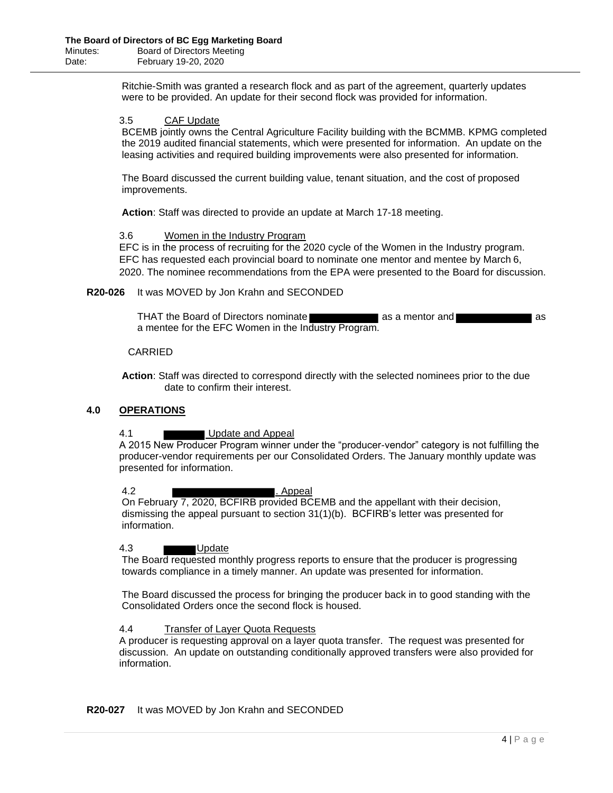Ritchie-Smith was granted a research flock and as part of the agreement, quarterly updates were to be provided. An update for their second flock was provided for information.

### 3.5 CAF Update

BCEMB jointly owns the Central Agriculture Facility building with the BCMMB. KPMG completed the 2019 audited financial statements, which were presented for information. An update on the leasing activities and required building improvements were also presented for information.

The Board discussed the current building value, tenant situation, and the cost of proposed improvements.

**Action**: Staff was directed to provide an update at March 17-18 meeting.

#### 3.6 Women in the Industry Program

EFC is in the process of recruiting for the 2020 cycle of the Women in the Industry program. EFC has requested each provincial board to nominate one mentor and mentee by March 6, 2020. The nominee recommendations from the EPA were presented to the Board for discussion.

### **R20-026** It was MOVED by Jon Krahn and SECONDED

THAT the Board of Directors nominate **and as a mentor and as a mentor and as a mentor and as a mentor and as a mentor and as a mentor and as a mentor and as a mentor and as a mentor and as a mentor and as a mentor and as a** a mentee for the EFC Women in the Industry Program.

#### CARRIED

**Action**: Staff was directed to correspond directly with the selected nominees prior to the due date to confirm their interest.

### **4.0 OPERATIONS**

### 4.1 Update and Appeal

A 2015 New Producer Program winner under the "producer-vendor" category is not fulfilling the producer-vendor requirements per our Consolidated Orders. The January monthly update was presented for information.

# 4.2 **. Appeal** . Appeal

On February 7, 2020, BCFIRB provided BCEMB and the appellant with their decision, dismissing the appeal pursuant to section 31(1)(b). BCFIRB's letter was presented for information.

### 4.3 Update

The Board requested monthly progress reports to ensure that the producer is progressing towards compliance in a timely manner. An update was presented for information.

The Board discussed the process for bringing the producer back in to good standing with the Consolidated Orders once the second flock is housed.

# 4.4 Transfer of Layer Quota Requests

A producer is requesting approval on a layer quota transfer. The request was presented for discussion. An update on outstanding conditionally approved transfers were also provided for information.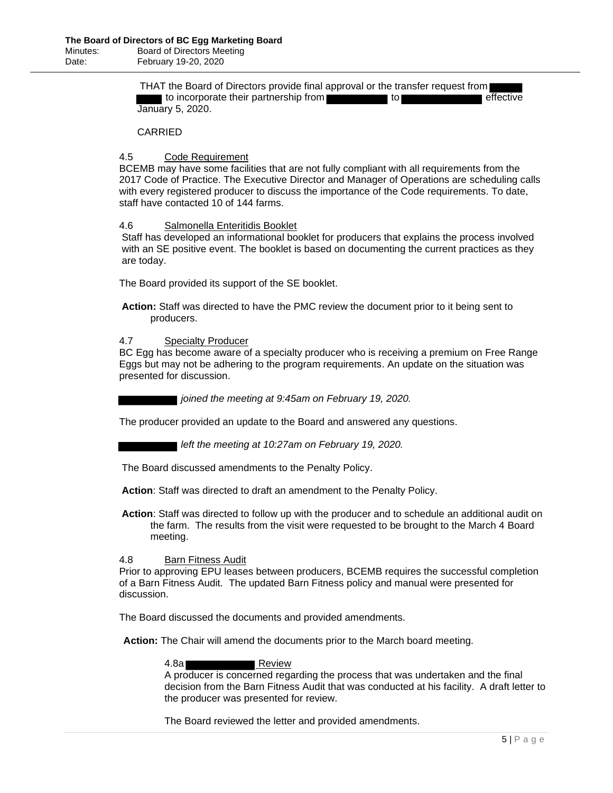THAT the Board of Directors provide final approval or the transfer request from **to incorporate their partnership from the effective effective** January 5, 2020.

CARRIED

### 4.5 Code Requirement

BCEMB may have some facilities that are not fully compliant with all requirements from the 2017 Code of Practice. The Executive Director and Manager of Operations are scheduling calls with every registered producer to discuss the importance of the Code requirements. To date, staff have contacted 10 of 144 farms.

#### 4.6 Salmonella Enteritidis Booklet

Staff has developed an informational booklet for producers that explains the process involved with an SE positive event. The booklet is based on documenting the current practices as they are today.

The Board provided its support of the SE booklet.

**Action:** Staff was directed to have the PMC review the document prior to it being sent to producers.

### 4.7 Specialty Producer

BC Egg has become aware of a specialty producer who is receiving a premium on Free Range Eggs but may not be adhering to the program requirements. An update on the situation was presented for discussion.

*joined the meeting at 9:45am on February 19, 2020.*

The producer provided an update to the Board and answered any questions.

 *left the meeting at 10:27am on February 19, 2020.*

The Board discussed amendments to the Penalty Policy.

**Action**: Staff was directed to draft an amendment to the Penalty Policy.

**Action**: Staff was directed to follow up with the producer and to schedule an additional audit on the farm. The results from the visit were requested to be brought to the March 4 Board meeting.

#### 4.8 Barn Fitness Audit

Prior to approving EPU leases between producers, BCEMB requires the successful completion of a Barn Fitness Audit. The updated Barn Fitness policy and manual were presented for discussion.

The Board discussed the documents and provided amendments.

 **Action:** The Chair will amend the documents prior to the March board meeting.

#### 4.8a Review

A producer is concerned regarding the process that was undertaken and the final decision from the Barn Fitness Audit that was conducted at his facility. A draft letter to the producer was presented for review.

The Board reviewed the letter and provided amendments.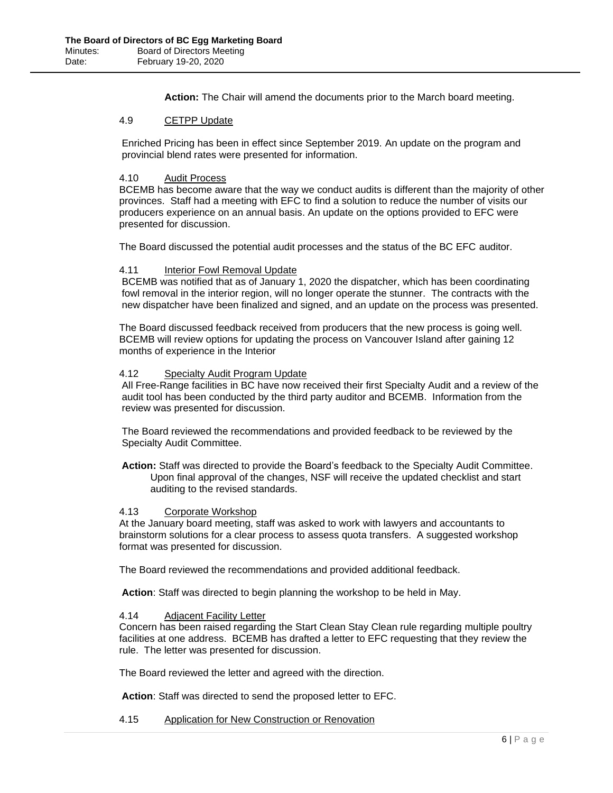**Action:** The Chair will amend the documents prior to the March board meeting.

### 4.9 CETPP Update

Enriched Pricing has been in effect since September 2019. An update on the program and provincial blend rates were presented for information.

#### 4.10 Audit Process

BCEMB has become aware that the way we conduct audits is different than the majority of other provinces. Staff had a meeting with EFC to find a solution to reduce the number of visits our producers experience on an annual basis. An update on the options provided to EFC were presented for discussion.

The Board discussed the potential audit processes and the status of the BC EFC auditor.

#### 4.11 Interior Fowl Removal Update

BCEMB was notified that as of January 1, 2020 the dispatcher, which has been coordinating fowl removal in the interior region, will no longer operate the stunner. The contracts with the new dispatcher have been finalized and signed, and an update on the process was presented.

The Board discussed feedback received from producers that the new process is going well. BCEMB will review options for updating the process on Vancouver Island after gaining 12 months of experience in the Interior

#### 4.12 Specialty Audit Program Update

All Free-Range facilities in BC have now received their first Specialty Audit and a review of the audit tool has been conducted by the third party auditor and BCEMB. Information from the review was presented for discussion.

The Board reviewed the recommendations and provided feedback to be reviewed by the Specialty Audit Committee.

**Action:** Staff was directed to provide the Board's feedback to the Specialty Audit Committee. Upon final approval of the changes, NSF will receive the updated checklist and start auditing to the revised standards.

### 4.13 Corporate Workshop

At the January board meeting, staff was asked to work with lawyers and accountants to brainstorm solutions for a clear process to assess quota transfers. A suggested workshop format was presented for discussion.

The Board reviewed the recommendations and provided additional feedback.

**Action**: Staff was directed to begin planning the workshop to be held in May.

#### 4.14 Adjacent Facility Letter

Concern has been raised regarding the Start Clean Stay Clean rule regarding multiple poultry facilities at one address. BCEMB has drafted a letter to EFC requesting that they review the rule. The letter was presented for discussion.

The Board reviewed the letter and agreed with the direction.

**Action**: Staff was directed to send the proposed letter to EFC.

4.15 Application for New Construction or Renovation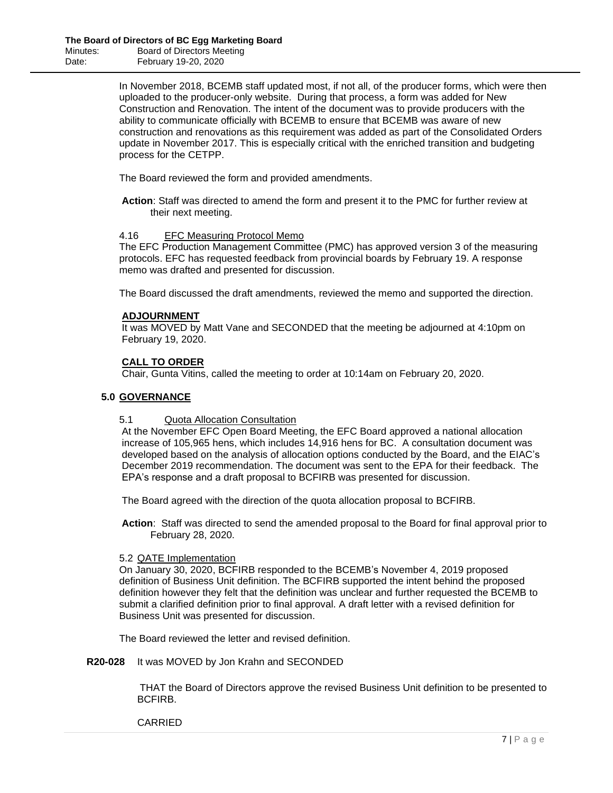In November 2018, BCEMB staff updated most, if not all, of the producer forms, which were then uploaded to the producer-only website. During that process, a form was added for New Construction and Renovation. The intent of the document was to provide producers with the ability to communicate officially with BCEMB to ensure that BCEMB was aware of new construction and renovations as this requirement was added as part of the Consolidated Orders update in November 2017. This is especially critical with the enriched transition and budgeting process for the CETPP.

The Board reviewed the form and provided amendments.

**Action**: Staff was directed to amend the form and present it to the PMC for further review at their next meeting.

#### 4.16 EFC Measuring Protocol Memo

The EFC Production Management Committee (PMC) has approved version 3 of the measuring protocols. EFC has requested feedback from provincial boards by February 19. A response memo was drafted and presented for discussion.

The Board discussed the draft amendments, reviewed the memo and supported the direction.

#### **ADJOURNMENT**

It was MOVED by Matt Vane and SECONDED that the meeting be adjourned at 4:10pm on February 19, 2020.

#### **CALL TO ORDER**

Chair, Gunta Vitins, called the meeting to order at 10:14am on February 20, 2020.

### **5.0 GOVERNANCE**

#### 5.1 Quota Allocation Consultation

At the November EFC Open Board Meeting, the EFC Board approved a national allocation increase of 105,965 hens, which includes 14,916 hens for BC. A consultation document was developed based on the analysis of allocation options conducted by the Board, and the EIAC's December 2019 recommendation. The document was sent to the EPA for their feedback. The EPA's response and a draft proposal to BCFIRB was presented for discussion.

The Board agreed with the direction of the quota allocation proposal to BCFIRB.

**Action**: Staff was directed to send the amended proposal to the Board for final approval prior to February 28, 2020.

#### 5.2 QATE Implementation

On January 30, 2020, BCFIRB responded to the BCEMB's November 4, 2019 proposed definition of Business Unit definition. The BCFIRB supported the intent behind the proposed definition however they felt that the definition was unclear and further requested the BCEMB to submit a clarified definition prior to final approval. A draft letter with a revised definition for Business Unit was presented for discussion.

The Board reviewed the letter and revised definition.

### **R20-028** It was MOVED by Jon Krahn and SECONDED

THAT the Board of Directors approve the revised Business Unit definition to be presented to BCFIRB.

### CARRIED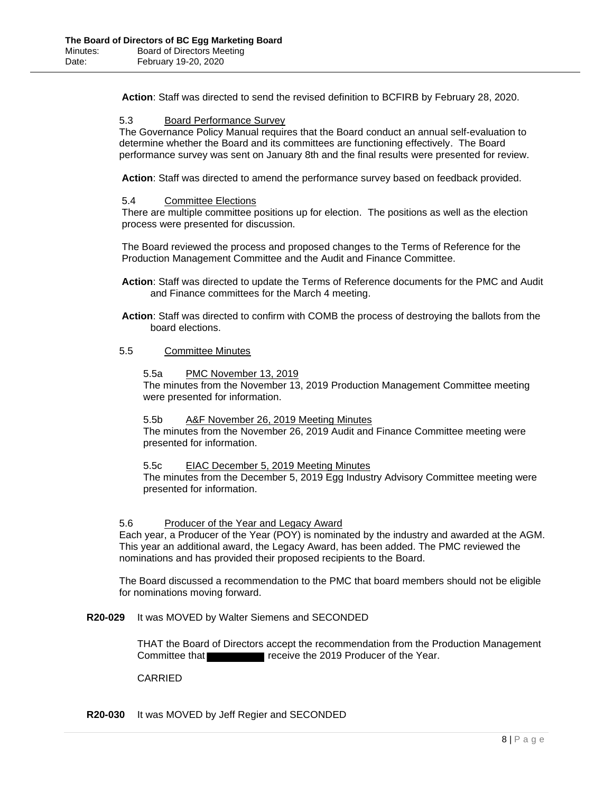**Action**: Staff was directed to send the revised definition to BCFIRB by February 28, 2020.

#### 5.3 Board Performance Survey

The Governance Policy Manual requires that the Board conduct an annual self-evaluation to determine whether the Board and its committees are functioning effectively. The Board performance survey was sent on January 8th and the final results were presented for review.

**Action**: Staff was directed to amend the performance survey based on feedback provided.

#### 5.4 Committee Elections

There are multiple committee positions up for election. The positions as well as the election process were presented for discussion.

The Board reviewed the process and proposed changes to the Terms of Reference for the Production Management Committee and the Audit and Finance Committee.

**Action**: Staff was directed to update the Terms of Reference documents for the PMC and Audit and Finance committees for the March 4 meeting.

**Action**: Staff was directed to confirm with COMB the process of destroying the ballots from the board elections.

#### 5.5 Committee Minutes

#### 5.5a PMC November 13, 2019

The minutes from the November 13, 2019 Production Management Committee meeting were presented for information.

5.5b A&F November 26, 2019 Meeting Minutes

The minutes from the November 26, 2019 Audit and Finance Committee meeting were presented for information.

#### 5.5c EIAC December 5, 2019 Meeting Minutes

The minutes from the December 5, 2019 Egg Industry Advisory Committee meeting were presented for information.

#### 5.6 Producer of the Year and Legacy Award

Each year, a Producer of the Year (POY) is nominated by the industry and awarded at the AGM. This year an additional award, the Legacy Award, has been added. The PMC reviewed the nominations and has provided their proposed recipients to the Board.

The Board discussed a recommendation to the PMC that board members should not be eligible for nominations moving forward.

### **R20-029** It was MOVED by Walter Siemens and SECONDED

THAT the Board of Directors accept the recommendation from the Production Management Committee that **receive the 2019 Producer of the Year.** 

# CARRIED

### **R20-030** It was MOVED by Jeff Regier and SECONDED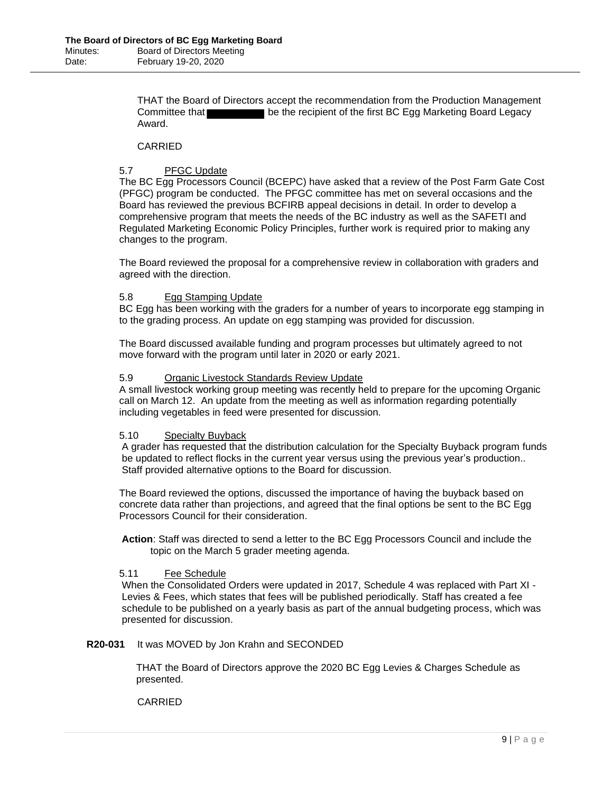THAT the Board of Directors accept the recommendation from the Production Management Committee that be the recipient of the first BC Egg Marketing Board Legacy Award.

### CARRIED

# 5.7 PFGC Update

The BC Egg Processors Council (BCEPC) have asked that a review of the Post Farm Gate Cost (PFGC) program be conducted. The PFGC committee has met on several occasions and the Board has reviewed the previous BCFIRB appeal decisions in detail. In order to develop a comprehensive program that meets the needs of the BC industry as well as the SAFETI and Regulated Marketing Economic Policy Principles, further work is required prior to making any changes to the program.

The Board reviewed the proposal for a comprehensive review in collaboration with graders and agreed with the direction.

### 5.8 Egg Stamping Update

BC Egg has been working with the graders for a number of years to incorporate egg stamping in to the grading process. An update on egg stamping was provided for discussion.

The Board discussed available funding and program processes but ultimately agreed to not move forward with the program until later in 2020 or early 2021.

#### 5.9 Organic Livestock Standards Review Update

A small livestock working group meeting was recently held to prepare for the upcoming Organic call on March 12. An update from the meeting as well as information regarding potentially including vegetables in feed were presented for discussion.

### 5.10 Specialty Buyback

A grader has requested that the distribution calculation for the Specialty Buyback program funds be updated to reflect flocks in the current year versus using the previous year's production.. Staff provided alternative options to the Board for discussion.

The Board reviewed the options, discussed the importance of having the buyback based on concrete data rather than projections, and agreed that the final options be sent to the BC Egg Processors Council for their consideration.

**Action**: Staff was directed to send a letter to the BC Egg Processors Council and include the topic on the March 5 grader meeting agenda.

### 5.11 Fee Schedule

When the Consolidated Orders were updated in 2017, Schedule 4 was replaced with Part XI - Levies & Fees, which states that fees will be published periodically. Staff has created a fee schedule to be published on a yearly basis as part of the annual budgeting process, which was presented for discussion.

### **R20-031** It was MOVED by Jon Krahn and SECONDED

THAT the Board of Directors approve the 2020 BC Egg Levies & Charges Schedule as presented.

#### CARRIED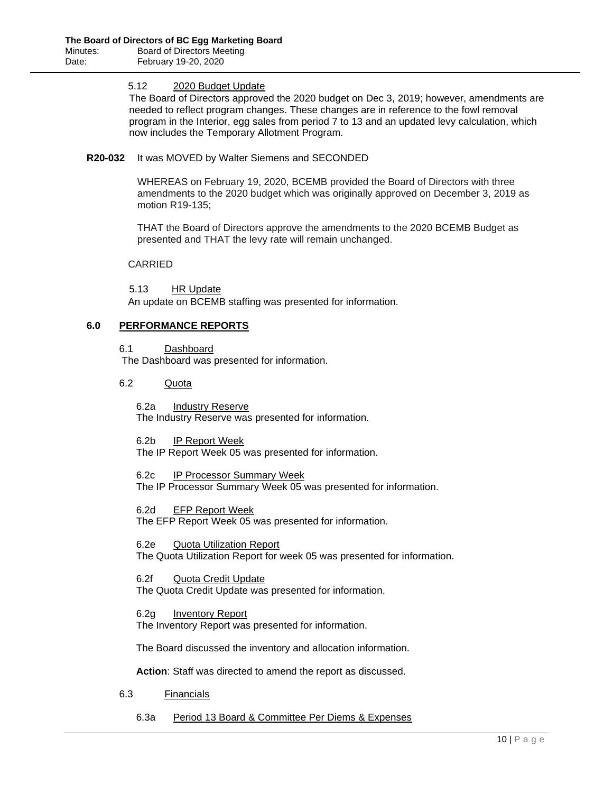### 5.12 2020 Budget Update

The Board of Directors approved the 2020 budget on Dec 3, 2019; however, amendments are needed to reflect program changes. These changes are in reference to the fowl removal program in the Interior, egg sales from period 7 to 13 and an updated levy calculation, which now includes the Temporary Allotment Program.

#### **R20-032** It was MOVED by Walter Siemens and SECONDED

WHEREAS on February 19, 2020, BCEMB provided the Board of Directors with three amendments to the 2020 budget which was originally approved on December 3, 2019 as motion R19-135;

THAT the Board of Directors approve the amendments to the 2020 BCEMB Budget as presented and THAT the levy rate will remain unchanged.

### CARRIED

5.13 HR Update

An update on BCEMB staffing was presented for information.

### **6.0 PERFORMANCE REPORTS**

6.1 Dashboard The Dashboard was presented for information.

#### 6.2 Quota

6.2a Industry Reserve The Industry Reserve was presented for information.

6.2b IP Report Week The IP Report Week 05 was presented for information.

6.2c IP Processor Summary Week The IP Processor Summary Week 05 was presented for information.

6.2d EFP Report Week The EFP Report Week 05 was presented for information.

6.2e Quota Utilization Report The Quota Utilization Report for week 05 was presented for information.

6.2f Quota Credit Update The Quota Credit Update was presented for information.

6.2g Inventory Report The Inventory Report was presented for information.

The Board discussed the inventory and allocation information.

**Action**: Staff was directed to amend the report as discussed.

#### 6.3 Financials

# 6.3a Period 13 Board & Committee Per Diems & Expenses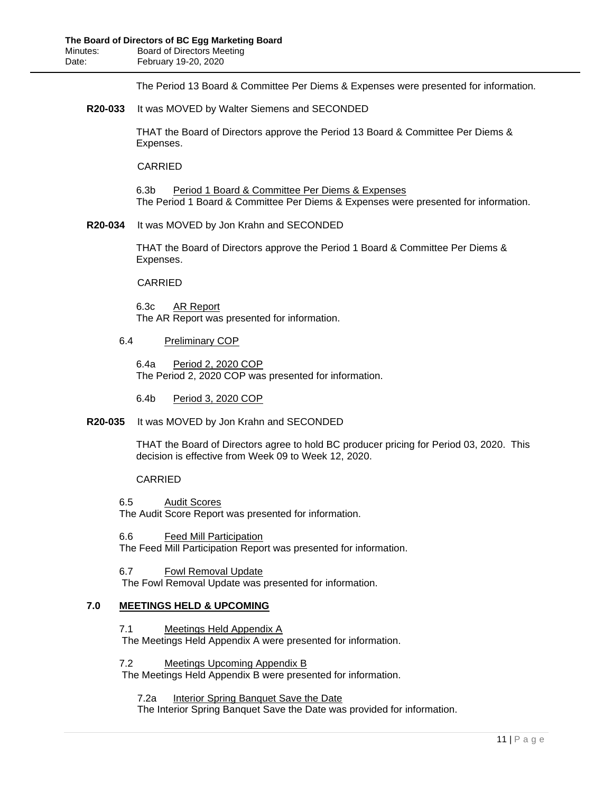The Period 13 Board & Committee Per Diems & Expenses were presented for information.

#### **R20-033** It was MOVED by Walter Siemens and SECONDED

THAT the Board of Directors approve the Period 13 Board & Committee Per Diems & Expenses.

CARRIED

6.3b Period 1 Board & Committee Per Diems & Expenses The Period 1 Board & Committee Per Diems & Expenses were presented for information.

#### **R20-034** It was MOVED by Jon Krahn and SECONDED

THAT the Board of Directors approve the Period 1 Board & Committee Per Diems & Expenses.

### CARRIED

6.3c AR Report The AR Report was presented for information.

#### 6.4 Preliminary COP

6.4a Period 2, 2020 COP The Period 2, 2020 COP was presented for information.

6.4b Period 3, 2020 COP

### **R20-035** It was MOVED by Jon Krahn and SECONDED

THAT the Board of Directors agree to hold BC producer pricing for Period 03, 2020. This decision is effective from Week 09 to Week 12, 2020.

### CARRIED

6.5 Audit Scores The Audit Score Report was presented for information.

6.6 Feed Mill Participation The Feed Mill Participation Report was presented for information.

6.7 Fowl Removal Update The Fowl Removal Update was presented for information.

### **7.0 MEETINGS HELD & UPCOMING**

7.1 Meetings Held Appendix A The Meetings Held Appendix A were presented for information.

7.2 Meetings Upcoming Appendix B The Meetings Held Appendix B were presented for information.

7.2a Interior Spring Banquet Save the Date

The Interior Spring Banquet Save the Date was provided for information.